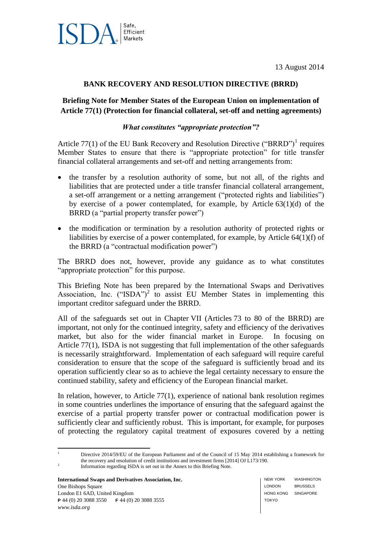



### **BANK RECOVERY AND RESOLUTION DIRECTIVE (BRRD)**

### **Briefing Note for Member States of the European Union on implementation of Article 77(1) (Protection for financial collateral, set-off and netting agreements)**

#### *What constitutes "appropriate protection"?*

Article  $77(1)$  of the EU Bank Recovery and Resolution Directive ("BRRD")<sup>1</sup> requires Member States to ensure that there is "appropriate protection" for title transfer financial collateral arrangements and set-off and netting arrangements from:

- the transfer by a resolution authority of some, but not all, of the rights and liabilities that are protected under a title transfer financial collateral arrangement, a set-off arrangement or a netting arrangement ("protected rights and liabilities") by exercise of a power contemplated, for example, by Article 63(1)(d) of the BRRD (a "partial property transfer power")
- the modification or termination by a resolution authority of protected rights or liabilities by exercise of a power contemplated, for example, by Article 64(1)(f) of the BRRD (a "contractual modification power")

The BRRD does not, however, provide any guidance as to what constitutes "appropriate protection" for this purpose.

This Briefing Note has been prepared by the International Swaps and Derivatives Association, Inc.  $("ISDA")^2$  to assist EU Member States in implementing this important creditor safeguard under the BRRD.

All of the safeguards set out in Chapter VII (Articles 73 to 80 of the BRRD) are important, not only for the continued integrity, safety and efficiency of the derivatives market, but also for the wider financial market in Europe. In focusing on Article 77(1), ISDA is not suggesting that full implementation of the other safeguards is necessarily straightforward. Implementation of each safeguard will require careful consideration to ensure that the scope of the safeguard is sufficiently broad and its operation sufficiently clear so as to achieve the legal certainty necessary to ensure the continued stability, safety and efficiency of the European financial market.

In relation, however, to Article  $77(1)$ , experience of national bank resolution regimes in some countries underlines the importance of ensuring that the safeguard against the exercise of a partial property transfer power or contractual modification power is sufficiently clear and sufficiently robust. This is important, for example, for purposes of protecting the regulatory capital treatment of exposures covered by a netting

**International Swaps and Derivatives Association, Inc.** One Bishops Square London E1 6AD, United Kingdom **P** 44 (0) 20 3088 3550 **F** 44 (0) 20 3088 3555 *www.isda.org*

 $\bar{1}$ Directive 2014/59/EU of the European Parliament and of the Council of 15 May 2014 establishing a framework for the recovery and resolution of credit institutions and investment firms [2014] OJ L173/190. 2

Information regarding ISDA is set out in the Annex to this Briefing Note.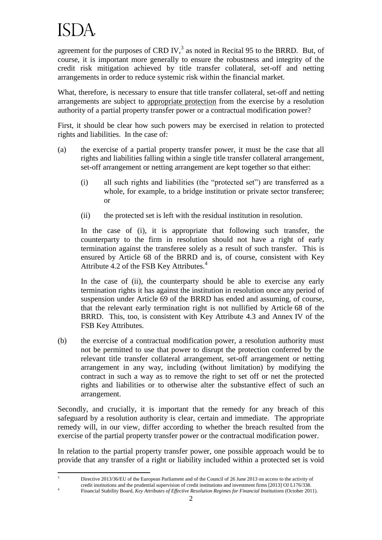## ISDA.

 $\overline{\mathbf{3}}$ 

4

agreement for the purposes of CRD IV, $3$  as noted in Recital 95 to the BRRD. But, of course, it is important more generally to ensure the robustness and integrity of the credit risk mitigation achieved by title transfer collateral, set-off and netting arrangements in order to reduce systemic risk within the financial market.

What, therefore, is necessary to ensure that title transfer collateral, set-off and netting arrangements are subject to appropriate protection from the exercise by a resolution authority of a partial property transfer power or a contractual modification power?

First, it should be clear how such powers may be exercised in relation to protected rights and liabilities. In the case of:

- (a) the exercise of a partial property transfer power, it must be the case that all rights and liabilities falling within a single title transfer collateral arrangement, set-off arrangement or netting arrangement are kept together so that either:
	- (i) all such rights and liabilities (the "protected set") are transferred as a whole, for example, to a bridge institution or private sector transferee; or
	- (ii) the protected set is left with the residual institution in resolution.

In the case of (i), it is appropriate that following such transfer, the counterparty to the firm in resolution should not have a right of early termination against the transferee solely as a result of such transfer. This is ensured by Article 68 of the BRRD and is, of course, consistent with Key Attribute 4.2 of the FSB Key Attributes.<sup>4</sup>

In the case of (ii), the counterparty should be able to exercise any early termination rights it has against the institution in resolution once any period of suspension under Article 69 of the BRRD has ended and assuming, of course, that the relevant early termination right is not nullified by Article 68 of the BRRD. This, too, is consistent with Key Attribute 4.3 and Annex IV of the FSB Key Attributes.

(b) the exercise of a contractual modification power, a resolution authority must not be permitted to use that power to disrupt the protection conferred by the relevant title transfer collateral arrangement, set-off arrangement or netting arrangement in any way, including (without limitation) by modifying the contract in such a way as to remove the right to set off or net the protected rights and liabilities or to otherwise alter the substantive effect of such an arrangement.

Secondly, and crucially, it is important that the remedy for any breach of this safeguard by a resolution authority is clear, certain and immediate. The appropriate remedy will, in our view, differ according to whether the breach resulted from the exercise of the partial property transfer power or the contractual modification power.

In relation to the partial property transfer power, one possible approach would be to provide that any transfer of a right or liability included within a protected set is void

<sup>3</sup> Directive 2013/36/EU of the European Parliament and of the Council of 26 June 2013 on access to the activity of credit institutions and the prudential supervision of credit institutions and investment firms [2013] OJ L176/338. Financial Stability Board, *Key Attributes of Effective Resolution Regimes for Financial Institutions* (October 2011).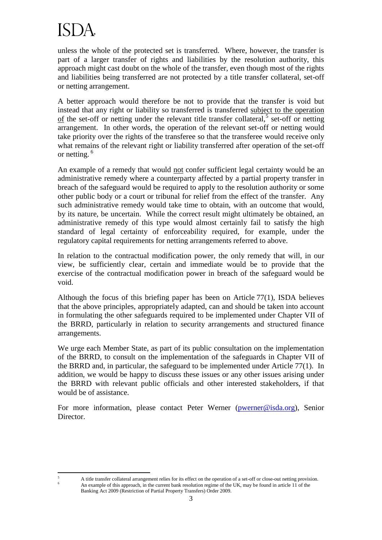# ISDA.

 $\overline{5}$ 

unless the whole of the protected set is transferred. Where, however, the transfer is part of a larger transfer of rights and liabilities by the resolution authority, this approach might cast doubt on the whole of the transfer, even though most of the rights and liabilities being transferred are not protected by a title transfer collateral, set-off or netting arrangement.

A better approach would therefore be not to provide that the transfer is void but instead that any right or liability so transferred is transferred subject to the operation of the set-off or netting under the relevant title transfer collateral, $\frac{5}{5}$  set-off or netting arrangement. In other words, the operation of the relevant set-off or netting would take priority over the rights of the transferee so that the transferee would receive only what remains of the relevant right or liability transferred after operation of the set-off or netting.<sup>6</sup>

An example of a remedy that would not confer sufficient legal certainty would be an administrative remedy where a counterparty affected by a partial property transfer in breach of the safeguard would be required to apply to the resolution authority or some other public body or a court or tribunal for relief from the effect of the transfer. Any such administrative remedy would take time to obtain, with an outcome that would, by its nature, be uncertain. While the correct result might ultimately be obtained, an administrative remedy of this type would almost certainly fail to satisfy the high standard of legal certainty of enforceability required, for example, under the regulatory capital requirements for netting arrangements referred to above.

In relation to the contractual modification power, the only remedy that will, in our view, be sufficiently clear, certain and immediate would be to provide that the exercise of the contractual modification power in breach of the safeguard would be void.

Although the focus of this briefing paper has been on Article 77(1), ISDA believes that the above principles, appropriately adapted, can and should be taken into account in formulating the other safeguards required to be implemented under Chapter VII of the BRRD, particularly in relation to security arrangements and structured finance arrangements.

We urge each Member State, as part of its public consultation on the implementation of the BRRD, to consult on the implementation of the safeguards in Chapter VII of the BRRD and, in particular, the safeguard to be implemented under Article 77(1). In addition, we would be happy to discuss these issues or any other issues arising under the BRRD with relevant public officials and other interested stakeholders, if that would be of assistance.

For more information, please contact Peter Werner [\(pwerner@isda.org\)](mailto:pwerner@isda.org), Senior Director.

<sup>5</sup> A title transfer collateral arrangement relies for its effect on the operation of a set-off or close-out netting provision. <sup>6</sup> An example of this approach, in the current bank resolution regime of the UK, may be found in article 11 of the Banking Act 2009 (Restriction of Partial Property Transfers) Order 2009.